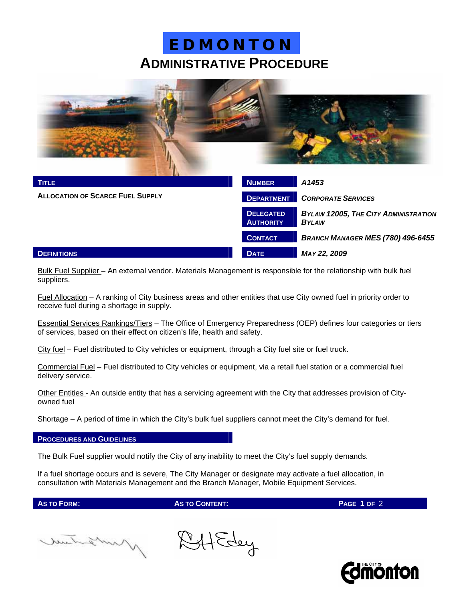# **ADMINISTRATIVE PROCEDURE E D M O N T O N**



| <b>TITLE</b>                            | <b>NUMBER</b>                        | A1453                                                       |
|-----------------------------------------|--------------------------------------|-------------------------------------------------------------|
| <b>ALLOCATION OF SCARCE FUEL SUPPLY</b> | <b>DEPARTMENT</b>                    | <b>CORPORATE SERVICES</b>                                   |
|                                         | <b>DELEGATED</b><br><b>AUTHORITY</b> | <b>BYLAW 12005, THE CITY ADMINISTRATION</b><br><b>BYLAW</b> |
|                                         | <b>CONTACT</b>                       | <b>BRANCH MANAGER MES (780) 496-6455</b>                    |
| <b>DEFINITIONS</b>                      | <b>DATE</b>                          | MAY 22, 2009                                                |

Bulk Fuel Supplier - An external vendor. Materials Management is responsible for the relationship with bulk fuel suppliers.

Fuel Allocation – A ranking of City business areas and other entities that use City owned fuel in priority order to receive fuel during a shortage in supply.

Essential Services Rankings/Tiers – The Office of Emergency Preparedness (OEP) defines four categories or tiers of services, based on their effect on citizen's life, health and safety.

City fuel – Fuel distributed to City vehicles or equipment, through a City fuel site or fuel truck.

Commercial Fuel – Fuel distributed to City vehicles or equipment, via a retail fuel station or a commercial fuel delivery service.

Other Entities - An outside entity that has a servicing agreement with the City that addresses provision of Cityowned fuel

Shortage – A period of time in which the City's bulk fuel suppliers cannot meet the City's demand for fuel.

#### **PROCEDURES AND GUIDELINES**

The Bulk Fuel supplier would notify the City of any inability to meet the City's fuel supply demands.

If a fuel shortage occurs and is severe, The City Manager or designate may activate a fuel allocation, in consultation with Materials Management and the Branch Manager, Mobile Equipment Services.

**AS TO FORM: AS TO CONTENT: PAGE 1 OF** 2

mitation